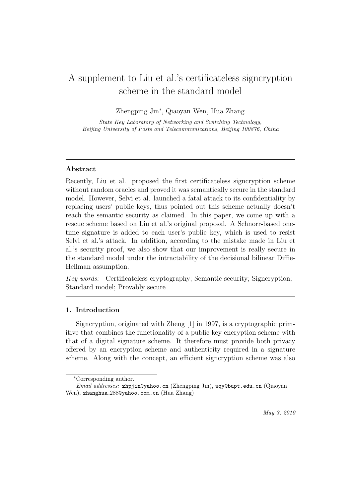# A supplement to Liu et al.'s certificateless signcryption scheme in the standard model

Zhengping Jin*<sup>∗</sup>* , Qiaoyan Wen, Hua Zhang

*State Key Laboratory of Networking and Switching Technology, Beijing University of Posts and Telecommunications, Beijing 100876, China*

# **Abstract**

Recently, Liu et al. proposed the first certificateless signcryption scheme without random oracles and proved it was semantically secure in the standard model. However, Selvi et al. launched a fatal attack to its confidentiality by replacing users' public keys, thus pointed out this scheme actually doesn't reach the semantic security as claimed. In this paper, we come up with a rescue scheme based on Liu et al.'s original proposal. A Schnorr-based onetime signature is added to each user's public key, which is used to resist Selvi et al.'s attack. In addition, according to the mistake made in Liu et al.'s security proof, we also show that our improvement is really secure in the standard model under the intractability of the decisional bilinear Diffie-Hellman assumption.

*Key words:* Certificateless cryptography; Semantic security; Signcryption; Standard model; Provably secure

# **1. Introduction**

Signcryption, originated with Zheng [1] in 1997, is a cryptographic primitive that combines the functionality of a public key encryption scheme with that of a digital signature scheme. It therefore must provide both privacy offered by an encryption scheme and authenticity required in a signature scheme. Along with the concept, an efficient signcryption scheme was also

*<sup>∗</sup>*Corresponding author.

*Email addresses:* zhpjin@yahoo.cn (Zhengping Jin), wqy@bupt.edu.cn (Qiaoyan Wen), zhanghua 288@yahoo.com.cn (Hua Zhang)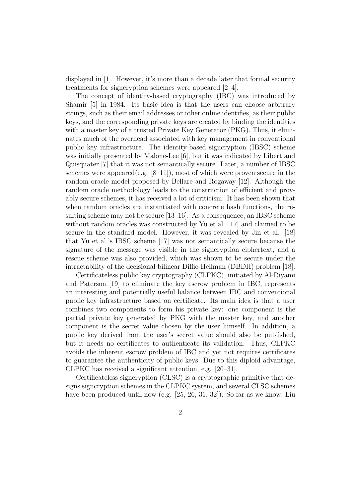displayed in [1]. However, it's more than a decade later that formal security treatments for signcryption schemes were appeared [2–4].

The concept of identity-based cryptography (IBC) was introduced by Shamir [5] in 1984. Its basic idea is that the users can choose arbitrary strings, such as their email addresses or other online identifies, as their public keys, and the corresponding private keys are created by binding the identities with a master key of a trusted Private Key Generator (PKG). Thus, it eliminates much of the overhead associated with key management in conventional public key infrastructure. The identity-based signcryption (IBSC) scheme was initially presented by Malone-Lee [6], but it was indicated by Libert and Quisquater [7] that it was not semantically secure. Later, a number of IBSC schemes were appeared (e.g.  $[8-11]$ ), most of which were proven secure in the random oracle model proposed by Bellare and Rogaway [12]. Although the random oracle methodology leads to the construction of efficient and provably secure schemes, it has received a lot of criticism. It has been shown that when random oracles are instantiated with concrete hash functions, the resulting scheme may not be secure [13–16]. As a consequence, an IBSC scheme without random oracles was constructed by Yu et al. [17] and claimed to be secure in the standard model. However, it was revealed by Jin et al. [18] that Yu et al.'s IBSC scheme [17] was not semantically secure because the signature of the message was visible in the signcryption ciphertext, and a rescue scheme was also provided, which was shown to be secure under the intractability of the decisional bilinear Diffie-Hellman (DBDH) problem [18].

Certificateless public key cryptography (CLPKC), initiated by Al-Riyami and Paterson [19] to eliminate the key escrow problem in IBC, represents an interesting and potentially useful balance between IBC and conventional public key infrastructure based on certificate. Its main idea is that a user combines two components to form his private key: one component is the partial private key generated by PKG with the master key, and another component is the secret value chosen by the user himself. In addition, a public key derived from the user's secret value should also be published, but it needs no certificates to authenticate its validation. Thus, CLPKC avoids the inherent escrow problem of IBC and yet not requires certificates to guarantee the authenticity of public keys. Due to this diploid advantage, CLPKC has received a significant attention, e.g. [20–31].

Certificateless signcryption (CLSC) is a cryptographic primitive that designs signcryption schemes in the CLPKC system, and several CLSC schemes have been produced until now (e.g. [25, 26, 31, 32]). So far as we know, Liu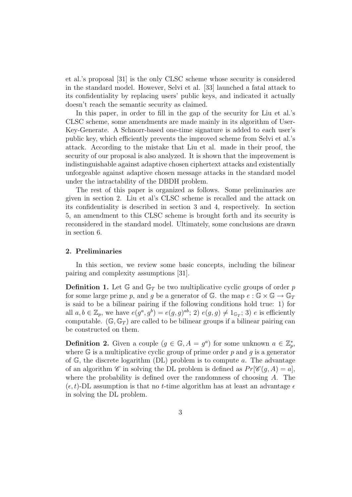et al.'s proposal [31] is the only CLSC scheme whose security is considered in the standard model. However, Selvi et al. [33] launched a fatal attack to its confidentiality by replacing users' public keys, and indicated it actually doesn't reach the semantic security as claimed.

In this paper, in order to fill in the gap of the security for Liu et al.'s CLSC scheme, some amendments are made mainly in its algorithm of User-Key-Generate. A Schnorr-based one-time signature is added to each user's public key, which efficiently prevents the improved scheme from Selvi et al.'s attack. According to the mistake that Liu et al. made in their proof, the security of our proposal is also analyzed. It is shown that the improvement is indistinguishable against adaptive chosen ciphertext attacks and existentially unforgeable against adaptive chosen message attacks in the standard model under the intractability of the DBDH problem.

The rest of this paper is organized as follows. Some preliminaries are given in section 2. Liu et al's CLSC scheme is recalled and the attack on its confidentiality is described in section 3 and 4, respectively. In section 5, an amendment to this CLSC scheme is brought forth and its security is reconsidered in the standard model. Ultimately, some conclusions are drawn in section 6.

# **2. Preliminaries**

In this section, we review some basic concepts, including the bilinear pairing and complexity assumptions [31].

**Definition 1.** Let  $\mathbb{G}$  and  $\mathbb{G}_T$  be two multiplicative cyclic groups of order p for some large prime p, and q be a generator of  $\mathbb{G}$ , the map  $e : \mathbb{G} \times \mathbb{G} \to \mathbb{G}_T$ is said to be a bilinear pairing if the following conditions hold true: 1) for all  $a, b \in \mathbb{Z}_p$ , we have  $e(g^a, g^b) = e(g, g)^{ab}$ ; 2)  $e(g, g) \neq 1_{\mathbb{G}_T}$ ; 3) *e* is efficiently computable.  $(\mathbb{G}, \mathbb{G}_T)$  are called to be bilinear groups if a bilinear pairing can be constructed on them.

**Definition 2.** Given a couple  $(g \in \mathbb{G}, A = g^a)$  for some unknown  $a \in \mathbb{Z}_p^*$ , where G is a multiplicative cyclic group of prime order *p* and *g* is a generator of G, the discrete logarithm (DL) problem is to compute *a*. The advantage of an algorithm *C* in solving the DL problem is defined as  $Pr[\mathscr{C}(g, A) = a],$ where the probability is defined over the randomness of choosing *A*. The  $(\epsilon, t)$ -DL assumption is that no *t*-time algorithm has at least an advantage  $\epsilon$ in solving the DL problem.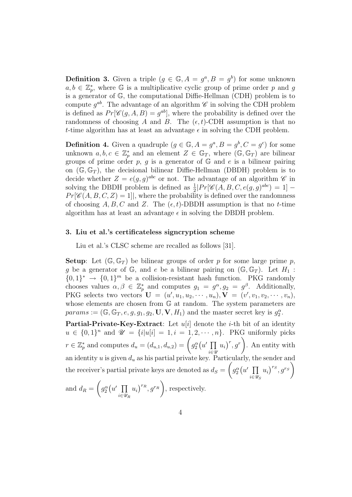**Definition 3.** Given a triple  $(g \in \mathbb{G}, A = g^a, B = g^b)$  for some unknown  $a, b \in \mathbb{Z}_p^*$ , where G is a multiplicative cyclic group of prime order *p* and *g* is a generator of G, the computational Diffie-Hellman (CDH) problem is to compute  $g^{ab}$ . The advantage of an algorithm  $\mathscr C$  in solving the CDH problem is defined as  $Pr[\mathscr{C}(g, A, B) = g^{ab}]$ , where the probability is defined over the randomness of choosing *A* and *B*. The  $(\epsilon, t)$ -CDH assumption is that no *t*-time algorithm has at least an advantage  $\epsilon$  in solving the CDH problem.

**Definition 4.** Given a quadruple  $(g \in \mathbb{G}, A = g^a, B = g^b, C = g^c)$  for some unknown  $a, b, c \in \mathbb{Z}_p^*$  and an element  $Z \in \mathbb{G}_T$ , where  $(\mathbb{G}, \mathbb{G}_T)$  are bilinear groups of prime order  $p$ ,  $g$  is a generator of  $\mathbb{G}$  and  $e$  is a bilinear pairing on  $(\mathbb{G}, \mathbb{G}_T)$ , the decisional bilinear Diffie-Hellman (DBDH) problem is to decide whether  $Z = e(g, g)^{abc}$  or not. The advantage of an algorithm  $\mathscr C$  in solving the DBDH problem is defined as  $\frac{1}{2}$  $|Pr[\mathscr{C}(A, B, C, e(g, g)^{abc}) = 1]$  –  $Pr[\mathscr{C}(A, B, C, Z) = 1]$ , where the probability is defined over the randomness of choosing  $A, B, C$  and  $Z$ . The  $(\epsilon, t)$ -DBDH assumption is that no *t*-time algorithm has at least an advantage  $\epsilon$  in solving the DBDH problem.

# **3. Liu et al.'s certificateless signcryption scheme**

Liu et al.'s CLSC scheme are recalled as follows [31].

**Setup**: Let  $(\mathbb{G}, \mathbb{G}_T)$  be bilinear groups of order p for some large prime p, *g* be a generator of  $\mathbb{G}$ , and *e* be a bilinear pairing on  $(\mathbb{G}, \mathbb{G}_T)$ . Let  $H_1$ :  $\{0,1\}^*$   $\rightarrow$   $\{0,1\}^m$  be a collision-resistant hash function. PKG randomly chooses values  $\alpha, \beta \in \mathbb{Z}_p^*$  and computes  $g_1 = g^{\alpha}, g_2 = g^{\beta}$ . Additionally, PKG selects two vectors  $\mathbf{U} = (u', u_1, u_2, \cdots, u_n), \mathbf{V} = (v', v_1, v_2, \cdots, v_n),$ whose elements are chosen from  $\mathbb{G}$  at random. The system parameters are  $params := (\mathbb{G}, \mathbb{G}_T, e, g, g_1, g_2, \mathbf{U}, \mathbf{V}, H_1)$  and the master secret key is  $g_2^{\alpha}$ .

**Partial-Private-Key-Extract**: Let *u*[*i*] denote the *i*-th bit of an identity  $u \in \{0, 1\}^n$  and  $\mathcal{U} = \{i | u[i] = 1, i = 1, 2, \dots, n\}$ . PKG uniformly picks *r*  $\in \mathbb{Z}_p^*$  and computes  $d_u = (d_{u,1}, d_{u,2}) = \int g_2^{\alpha}(u') \prod$ *i∈U*  $u_i$ <sup>*r*</sup>, *g<sup><i>r*</sup></sup>  $\setminus$ . An entity with an identity  $u$  is given  $d_u$  as his partial private key. Particularly, the sender and the receiver's partial private keys are denoted as  $d_S =$  $\sqrt{ }$  $g_2^{\alpha}(u' \prod)$ *i∈U<sup>S</sup>*  $u_i$ <sup>*rs*</sup>, *g*<sup>*rs*</sup>  $\lambda$  $\overline{\phantom{a}}$  $\setminus$ 

and 
$$
d_R = \left(g_2^{\alpha}(u' \prod_{i \in \mathcal{U}_R} u_i)^{r_R}, g^{r_R}\right)
$$
, respectively.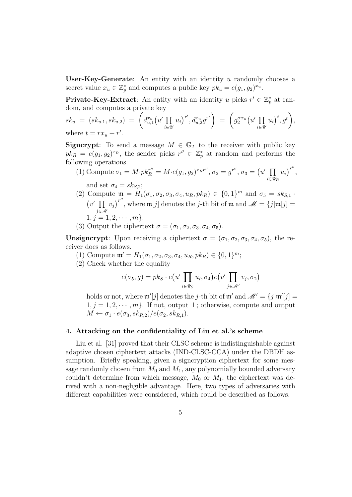**User-Key-Generate**: An entity with an identity *u* randomly chooses a secret value  $x_u \in \mathbb{Z}_p^*$  and computes a public key  $pk_u = e(g_1, g_2)^{x_u}$ .

**Private-Key-Extract**: An entity with an identity *u* picks  $r' \in \mathbb{Z}_p^*$  at random, and computes a private key

$$
sk_u = (sk_{u,1}, sk_{u,2}) = \left( d_{u,1}^{x_u} (u' \prod_{i \in \mathcal{U}} u_i)^{r'}, d_{u,2}^{x_u} g^{r'} \right) = \left( g_2^{\alpha x_u} (u' \prod_{i \in \mathcal{U}} u_i)^t, g^t \right),
$$
  
where  $t = rx_u + r'.$ 

**Signcrypt**: To send a message  $M \in \mathbb{G}_T$  to the receiver with public key  $pk_R = e(g_1, g_2)^{x_R}$ , the sender picks  $r'' \in \mathbb{Z}_p^*$  at random and performs the following operations.

(1) Compute 
$$
\sigma_1 = M \cdot p k_R^{r''} = M \cdot e(g_1, g_2)^{x_R r''}, \sigma_2 = g^{r''}, \sigma_3 = (u' \prod_{i \in \mathcal{U}_R} u_i)^{r''},
$$
  
and set  $\sigma_4 = sk_{S,2}$ ;

- (2) Compute  $\mathfrak{m} = H_1(\sigma_1, \sigma_2, \sigma_3, \sigma_4, u_R, pk_R) \in \{0, 1\}^m$  and  $\sigma_5 = sk_{S,1}$ . ( *v ′* ∏ *j∈M*  $v_j$ <sup> $r''$ </sup>, where  $\mathfrak{m}[j]$  denotes the *j*-th bit of  $\mathfrak{m}$  and  $\mathscr{M} = \{j | \mathfrak{m}[j] = j\}$  $1, j = 1, 2, \cdots, m$  };
- (3) Output the ciphertext  $\sigma = (\sigma_1, \sigma_2, \sigma_3, \sigma_4, \sigma_5)$ .

**Unsigncrypt**: Upon receiving a ciphertext  $\sigma = (\sigma_1, \sigma_2, \sigma_3, \sigma_4, \sigma_5)$ , the receiver does as follows.

- (1) Compute  $\mathfrak{m}' = H_1(\sigma_1, \sigma_2, \sigma_3, \sigma_4, u_R, pk_R) \in \{0, 1\}^m$ ;
- (2) Check whether the equality

$$
e(\sigma_5, g) = pk_S \cdot e(u' \prod_{i \in \mathscr{U}_S} u_i, \sigma_4) e(v' \prod_{j \in \mathscr{M}'} v_j, \sigma_2)
$$

holds or not, where  $\mathfrak{m}'[j]$  denotes the *j*-th bit of  $\mathfrak{m}'$  and  $\mathscr{M}' = \{j | \mathfrak{m}'[j] = j\}$  $1, j = 1, 2, \cdots, m$ . If not, output  $\perp$ ; otherwise, compute and output  $M \leftarrow \sigma_1 \cdot e(\sigma_3, sk_{R,2})/e(\sigma_2, sk_{R,1}).$ 

# **4. Attacking on the confidentiality of Liu et al.'s scheme**

Liu et al. [31] proved that their CLSC scheme is indistinguishable against adaptive chosen ciphertext attacks (IND-CLSC-CCA) under the DBDH assumption. Briefly speaking, given a signcryption ciphertext for some message randomly chosen from  $M_0$  and  $M_1$ , any polynomially bounded adversary couldn't determine from which message,  $M_0$  or  $M_1$ , the ciphertext was derived with a non-negligible advantage. Here, two types of adversaries with different capabilities were considered, which could be described as follows.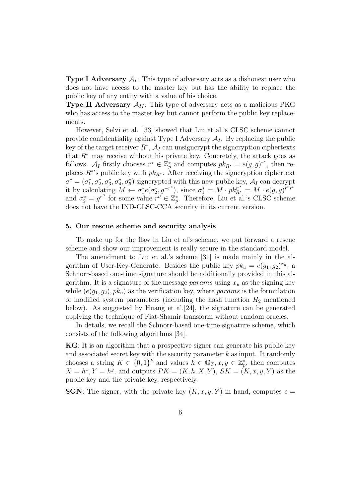**Type I Adversary**  $A<sub>I</sub>$ : This type of adversary acts as a dishonest user who does not have access to the master key but has the ability to replace the public key of any entity with a value of his choice.

**Type II Adversary**  $A_{II}$ : This type of adversary acts as a malicious PKG who has access to the master key but cannot perform the public key replacements.

However, Selvi et al. [33] showed that Liu et al.'s CLSC scheme cannot provide confidentiality against Type I Adversary  $A_I$ . By replacing the public key of the target receiver  $R^*$ ,  $\mathcal{A}_I$  can unsigncrypt the signcryption ciphertexts that *R<sup>∗</sup>* may receive without his private key. Concretely, the attack goes as follows.  $A_I$  firstly chooses  $r^* \in \mathbb{Z}_p^*$  and computes  $pk_{R^*} = e(g, g)^{r^*}$ , then replaces *R<sup>∗</sup>* 's public key with *pk<sup>R</sup><sup>∗</sup>* . After receiving the signcryption ciphertext  $\sigma^* = (\sigma_1^*, \sigma_2^*, \sigma_3^*, \sigma_4^*, \sigma_5^*)$  signcrypted with this new public key,  $\mathcal{A}_I$  can decrypt it by calculating  $M \leftarrow \sigma_1^* e(\sigma_2^*, g^{-r^*})$ , since  $\sigma_1^* = M \cdot pk_{R^*}^{r''} = M \cdot e(g, g)^{r^*r''}$ and  $\sigma_2^* = g^{r''}$  for some value  $r'' \in \mathbb{Z}_p^*$ . Therefore, Liu et al.'s CLSC scheme does not have the IND-CLSC-CCA security in its current version.

#### **5. Our rescue scheme and security analysis**

To make up for the flaw in Liu et al's scheme, we put forward a rescue scheme and show our improvement is really secure in the standard model.

The amendment to Liu et al.'s scheme [31] is made mainly in the algorithm of User-Key-Generate. Besides the public key  $pk_u = e(g_1, g_2)^{x_u}$ , a Schnorr-based one-time signature should be additionally provided in this algorithm. It is a signature of the message *params* using  $x<sub>u</sub>$  as the signing key while  $(e(g_1, g_2), p k_u)$  as the verification key, where *params* is the formulation of modified system parameters (including the hash function  $H_2$  mentioned below). As suggested by Huang et al.[24], the signature can be generated applying the technique of Fiat-Shamir transform without random oracles.

In details, we recall the Schnorr-based one-time signature scheme, which consists of the following algorithms [34].

**KG**: It is an algorithm that a prospective signer can generate his public key and associated secret key with the security parameter *k* as input. It randomly chooses a string  $K \in \{0,1\}^k$  and values  $h \in \mathbb{G}_T$ ,  $x, y \in \mathbb{Z}_p^*$ , then computes  $X = h^x, Y = h^y$ , and outputs  $PK = (K, h, X, Y), SK = (K, x, y, Y)$  as the public key and the private key, respectively.

**SGN**: The signer, with the private key  $(K, x, y, Y)$  in hand, computes  $c =$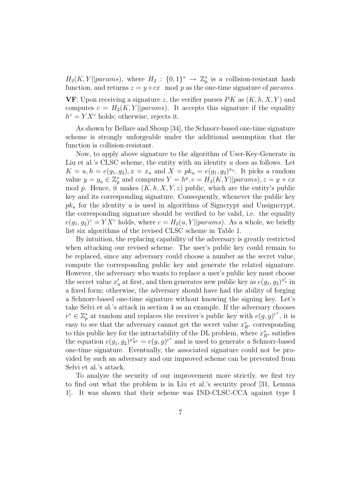$H_2(K, Y||params)$ , where  $H_2: \{0, 1\}^* \to \mathbb{Z}_p^*$  is a collision-resistant hash function, and returns  $z = y + cx$  mod p as the one-time signature of params.

**VF**: Upon receiving a signature *z*, the verifier parses *PK* as (*K, h, X, Y* ) and computes  $c = H_2(K, Y||params)$ . It accepts this signature if the equality  $h^z = YX^c$  holds; otherwise, rejects it.

As shown by Bellare and Shoup [34], the Schnorr-based one-time signature scheme is strongly unforgeable under the additional assumption that the function is collision-resistant.

Now, to apply above signature to the algorithm of User-Key-Generate in Liu et al.'s CLSC scheme, the entity with an identity *u* does as follows. Let  $K = u, h = e(g_1, g_2), x = x_u$  and  $X = pk_u = e(g_1, g_2)^{x_u}$ . It picks a random value  $y = y_u \in \mathbb{Z}_p^*$  and computes  $Y = h^y, c = H_2(K, Y || params), z = y + cx$ mod *p*. Hence, it makes  $(K, h, X, Y, z)$  public, which are the entity's public key and its corresponding signature. Consequently, whenever the public key  $pk_u$  for the identity *u* is used in algorithms of Signcrypt and Unsigncrypt, the corresponding signature should be verified to be valid, i.e. the equality  $e(g_1, g_2)^z = YX^c$  holds, where  $c = H_2(u, Y||params)$ . As a whole, we briefly list six algorithms of the revised CLSC scheme in Table 1.

By intuition, the replacing capability of the adversary is greatly restricted when attacking our revised scheme. The user's public key could remain to be replaced, since any adversary could choose a number as the secret value, compute the corresponding public key and generate the related signature. However, the adversary who wants to replace a user's public key must choose the secret value  $x'_{u}$  at first, and then generates new public key as  $e(g_1, g_2)^{x'_{u}}$  in a fixed form; otherwise, the adversary should have had the ability of forging a Schnorr-based one-time signature without knowing the signing key. Let's take Selvi et al.'s attack in section 4 as an example. If the adversary chooses  $r^* \in \mathbb{Z}_p^*$  at random and replaces the receiver's public key with  $e(g, g)^{r^*}$ , it is easy to see that the adversary cannot get the secret value  $x_{R^*}^*$  corresponding to this public key for the intractability of the DL problem, where  $x_{R^*}^*$  satisfies the equation  $e(g_1, g_2)^{x_{R^*}^*} = e(g, g)^{r^*}$  and is used to generate a Schnorr-based one-time signature. Eventually, the associated signature could not be provided by such an adversary and our improved scheme can be prevented from Selvi et al.'s attack.

To analyze the security of our improvement more strictly, we first try to find out what the problem is in Liu et al.'s security proof [31, Lemma 1]. It was shown that their scheme was IND-CLSC-CCA against type I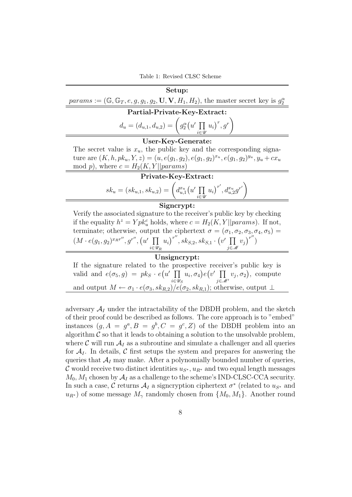Table 1: Revised CLSC Scheme

| Setup:                                                                                                                                   |
|------------------------------------------------------------------------------------------------------------------------------------------|
| params := $(\mathbb{G}, \mathbb{G}_T, e, g, g_1, g_2, \mathbf{U}, \mathbf{V}, H_1, H_2)$ , the master secret key is $g_2^{\alpha}$       |
| Partial-Private-Key-Extract:                                                                                                             |
| $d_u = (d_{u,1}, d_{u,2}) = \left(g_2^{\alpha}(u' \prod_{i \in \mathcal{U}} u_i)^r, g^r\right)$                                          |
| User-Key-Generate:                                                                                                                       |
| The secret value is $x_u$ , the public key and the corresponding signa-                                                                  |
| ture are $(K, h, pk_u, Y, z) = (u, e(g_1, g_2), e(g_1, g_2)^{x_u}, e(g_1, g_2)^{y_u}, y_u + cx_u)$                                       |
| mod p), where $c = H_2(K, Y  params)$                                                                                                    |
| Private-Key-Extract:                                                                                                                     |
| $sk_u = (sk_{u,1}, sk_{u,2}) = \left(d_{u,1}^{x_u}(u' \prod_{i=1} u_i)^{r'}, d_{u,2}^{x_u} g^{r'}\right)$                                |
| Signcrypt:                                                                                                                               |
| Verify the associated signature to the receiver's public key by checking                                                                 |
| if the equality $h^z = Y p k_u^c$ holds, where $c = H_2(K, Y  params)$ . If not,                                                         |
| terminate; otherwise, output the ciphertext $\sigma = (\sigma_1, \sigma_2, \sigma_3, \sigma_4, \sigma_5)$                                |
| $(M \cdot e(g_1, g_2)^{x_R r''}, g^{r''}, (u' \prod u_i)^{r''}, sk_{S,2}, sk_{S,1} \cdot (v' \prod v_j)^{r''})$<br>$i \in \mathcal{U}_B$ |
| $\prod_{z}$ of an our $\leftarrow$                                                                                                       |

#### **Unsigncrypt:**

If the signature related to the prospective receiver's public key is valid and  $e(\sigma_5, g) = pk_S \cdot e(u')$   $\prod$ *i∈U<sup>S</sup>*  $\overline{u_i}, \sigma_4$ ) $e(v'$  ∏ *j∈M′*  $\left(v_j, \sigma_2\right)$ , compute and output  $M \leftarrow \sigma_1 \cdot e(\sigma_3, sk_{R,2})/e(\sigma_2, sk_{R,1})$ ; otherwise, output ⊥

adversary  $A_I$  under the intractability of the DBDH problem, and the sketch of their proof could be described as follows. The core approach is to "embed" instances  $(g, A = g^a, B = g^b, C = g^c, Z)$  of the DBDH problem into an algorithm  $\mathcal C$  so that it leads to obtaining a solution to the unsolvable problem, where  $\mathcal C$  will run  $\mathcal A_I$  as a subroutine and simulate a challenger and all queries for  $A_I$ . In details,  $C$  first setups the system and prepares for answering the queries that  $A_I$  may make. After a polynomially bounded number of queries, *C* would receive two distinct identities  $u_{S^*}, u_{R^*}$  and two equal length messages  $M_0, M_1$  chosen by  $A_I$  as a challenge to the scheme's IND-CLSC-CCA security. In such a case,  $C$  returns  $A_I$  a signcryption ciphertext  $\sigma^*$  (related to  $u_{S^*}$  and  $u_{R}$ <sup>\*</sup>) of some message  $M_{\gamma}$  randomly chosen from  $\{M_0, M_1\}$ . Another round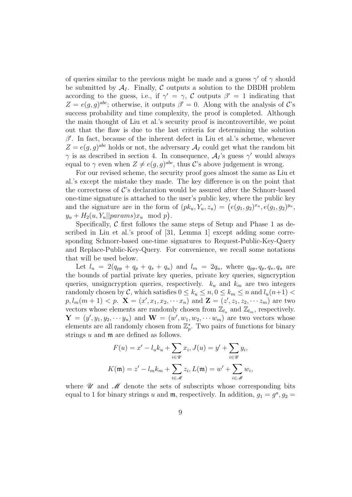of queries similar to the previous might be made and a guess *γ ′* of *γ* should be submitted by  $A_I$ . Finally, C outputs a solution to the DBDH problem according to the guess, i.e., if  $\gamma' = \gamma$ , *C* outputs  $\beta' = 1$  indicating that  $Z = e(g, g)^{abc}$ ; otherwise, it outputs  $\beta' = 0$ . Along with the analysis of *C*'s success probability and time complexity, the proof is completed. Although the main thought of Liu et al.'s security proof is incontrovertible, we point out that the flaw is due to the last criteria for determining the solution *β ′* . In fact, because of the inherent defect in Liu et al.'s scheme, whenever  $Z = e(g, g)^{abc}$  holds or not, the adversary  $A_I$  could get what the random bit *γ* is as described in section 4. In consequence, *A<sup>I</sup>* 's guess *γ ′* would always equal to  $\gamma$  even when  $Z \neq e(g, g)^{abc}$ , thus *C*'s above judgement is wrong.

For our revised scheme, the security proof goes almost the same as Liu et al.'s except the mistake they made. The key difference is on the point that the correctness of  $\mathcal{C}$ 's declaration would be assured after the Schnorr-based one-time signature is attached to the user's public key, where the public key and the signature are in the form of  $(pk_u, Y_u, z_u) = (e(g_1, g_2)^{x_u}, e(g_1, g_2)^{y_u},$  $y_u + H_2(u, Y_u||params)x_u \mod p$ .

Specifically, C first follows the same steps of Setup and Phase 1 as described in Liu et al.'s proof of [31, Lemma 1] except adding some corresponding Schnorr-based one-time signatures to Request-Public-Key-Query and Replace-Public-Key-Query. For convenience, we recall some notations that will be used below.

Let  $l_u = 2(q_{pp} + q_p + q_s + q_u)$  and  $l_m = 2q_u$ , where  $q_{pp}, q_p, q_s, q_u$  are the bounds of partial private key queries, private key queries, signcryption queries, unsigncryption queries, respectively. *k<sup>u</sup>* and *k<sup>m</sup>* are two integers randomly chosen by *C*, which satisfies  $0 \le k_u \le n, 0 \le k_m \le n$  and  $l_u(n+1) <$  $p, l_m(m+1) < p.$   $\mathbf{X} = (x', x_1, x_2, \cdots x_n)$  and  $\mathbf{Z} = (z', z_1, z_2, \cdots z_m)$  are two vectors whose elements are randomly chosen from  $\mathbb{Z}_{l_u}$  and  $\mathbb{Z}_{l_m}$ , respectively.  $\mathbf{Y} = (y', y_1, y_2, \cdots y_n)$  and  $\mathbf{W} = (w', w_1, w_2, \cdots w_m)$  are two vectors whose elements are all randomly chosen from  $\mathbb{Z}_p^*$ . Two pairs of functions for binary strings *u* and m are defined as follows.

$$
F(u) = x' - l_u k_u + \sum_{i \in \mathcal{U}} x_i, J(u) = y' + \sum_{i \in \mathcal{U}} y_i,
$$
  

$$
K(\mathfrak{m}) = z' - l_m k_m + \sum_{i \in \mathcal{M}} z_i, L(\mathfrak{m}) = w' + \sum_{i \in \mathcal{M}} w_i,
$$

where  $\mathscr U$  and  $\mathscr M$  denote the sets of subscripts whose corresponding bits equal to 1 for binary strings *u* and **m**, respectively. In addition,  $g_1 = g^a$ ,  $g_2 =$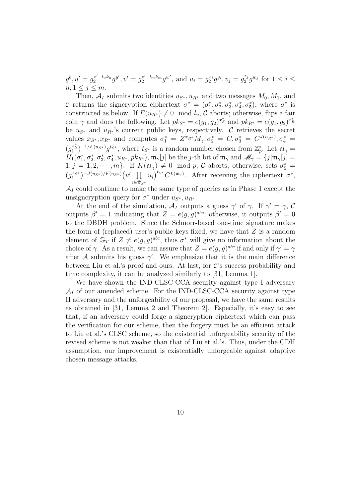$g^b, u' = g_2^{x'-l_u k_u} g^{y'}, v' = g_2^{z'-l_m k_m} g^{w'},$  and  $u_i = g_2^{x_i} g^{y_i}, v_j = g_2^{z_j}$  $a_2^{z_j} g^{w_j}$  for  $1 \le i \le j$  $n, 1 \leq j \leq m$ .

Then,  $A_I$  submits two identities  $u_{S^*}, u_{R^*}$  and two messages  $M_0, M_1$ , and *C* returns the signcryption ciphertext  $\sigma^* = (\sigma_1^*, \sigma_2^*, \sigma_3^*, \sigma_4^*, \sigma_5^*)$ , where  $\sigma^*$  is constructed as below. If  $F(u_{R^*}) \neq 0 \mod l_u$ , *C* aborts; otherwise, flips a fair coin  $\gamma$  and does the following. Let  $pk_{S^*} = e(g_1, g_2)^{x^*_{S}}$  and  $pk_{R^*} = e(g_1, g_2)^{x^*_{R}}$ be  $u_{S^*}$  and  $u_{R^*}$ 's current public keys, respectively. *C* retrieves the secret values  $x_{S^*}, x_{R^*}$  and computes  $\sigma_1^* = Z^{x_{R^*}} M_{\gamma}, \sigma_2^* = C, \sigma_3^* = C^{J(u_{R^*})}, \sigma_4^* =$  $(g_1^{x_s^*})^{-1/F(u_{S^*})}g^{t_{S^*}}$ , where  $t_{S^*}$  is a random number chosen from  $\mathbb{Z}_p^*$ . Let  $\mathfrak{m}_{\gamma}$  =  $H_1(\sigma_1^*, \sigma_2^*, \sigma_3^*, \sigma_4^*, u_{R^*}, p k_{R^*}), \mathfrak{m}_\gamma[j]$  be the *j*-th bit of  $\mathfrak{m}_\gamma$  and  $\mathscr{M}_\gamma = \{j | \mathfrak{m}_\gamma[j] = j\}$  $1, j = 1, 2, \cdots, m$ . If  $K(\mathfrak{m}_{\gamma}) \neq 0 \mod p$ , C aborts; otherwise, sets  $\sigma_5^* =$  $(g_1^{x_{S^*}})^{-J(u_{S^*})/F(u_{S^*})}$  (*u'*  $\prod$ *i∈US<sup>∗</sup>*  $u_i$ <sup>*ts*</sup><sup>*t*</sup>*C*<sup>*L*(m<sub>γ</sub>)</sub>. After receiving the ciphertext  $\sigma^*$ ,</sup>

 $\mathcal{A}_I$  could continue to make the same type of queries as in Phase 1 except the unsigncryption query for  $\sigma^*$  under  $u_{S^*}, u_{R^*}$ .

At the end of the simulation,  $\mathcal{A}_I$  outputs a guess  $\gamma'$  of  $\gamma$ . If  $\gamma' = \gamma$ , C outputs  $\beta' = 1$  indicating that  $Z = e(g, g)^{abc}$ ; otherwise, it outputs  $\beta' = 0$ to the DBDH problem. Since the Schnorr-based one-time signature makes the form of (replaced) user's public keys fixed, we have that *Z* is a random element of  $\mathbb{G}_T$  if  $Z \neq e(g, g)^{abc}$ , thus  $\sigma^*$  will give no information about the choice of  $\gamma$ . As a result, we can assure that  $Z = e(g, g)^{abc}$  if and only if  $\gamma' = \gamma$ after *A* submits his guess  $\gamma'$ . We emphasize that it is the main difference between Liu et al.'s proof and ours. At last, for *C*'s success probability and time complexity, it can be analyzed similarly to [31, Lemma 1].

We have shown the IND-CLSC-CCA security against type I adversary  $A_I$  of our amended scheme. For the IND-CLSC-CCA security against type II adversary and the unforgeability of our proposal, we have the same results as obtained in [31, Lemma 2 and Theorem 2]. Especially, it's easy to see that, if an adversary could forge a signcryption ciphertext which can pass the verification for our scheme, then the forgery must be an efficient attack to Liu et al.'s CLSC scheme, so the existential unforgeability security of the revised scheme is not weaker than that of Liu et al.'s. Thus, under the CDH assumption, our improvement is existentially unforgeable against adaptive chosen message attacks.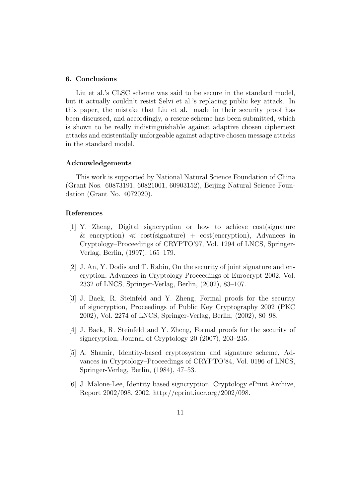#### **6. Conclusions**

Liu et al.'s CLSC scheme was said to be secure in the standard model, but it actually couldn't resist Selvi et al.'s replacing public key attack. In this paper, the mistake that Liu et al. made in their security proof has been discussed, and accordingly, a rescue scheme has been submitted, which is shown to be really indistinguishable against adaptive chosen ciphertext attacks and existentially unforgeable against adaptive chosen message attacks in the standard model.

# **Acknowledgements**

This work is supported by National Natural Science Foundation of China (Grant Nos. 60873191, 60821001, 60903152), Beijing Natural Science Foundation (Grant No. 4072020).

# **References**

- [1] Y. Zheng, Digital signcryption or how to achieve cost(signature & encryption) *≪* cost(signature) + cost(encryption), Advances in Cryptology–Proceedings of CRYPTO'97, Vol. 1294 of LNCS, Springer-Verlag, Berlin, (1997), 165–179.
- [2] J. An, Y. Dodis and T. Rabin, On the security of joint signature and encryption, Advances in Cryptology-Proceedings of Eurocrypt 2002, Vol. 2332 of LNCS, Springer-Verlag, Berlin, (2002), 83–107.
- [3] J. Baek, R. Steinfeld and Y. Zheng, Formal proofs for the security of signcryption, Proceedings of Public Key Cryptography 2002 (PKC 2002), Vol. 2274 of LNCS, Springer-Verlag, Berlin, (2002), 80–98.
- [4] J. Baek, R. Steinfeld and Y. Zheng, Formal proofs for the security of signcryption, Journal of Cryptology 20 (2007), 203–235.
- [5] A. Shamir, Identity-based cryptosystem and signature scheme, Advances in Cryptology–Proceedings of CRYPTO'84, Vol. 0196 of LNCS, Springer-Verlag, Berlin, (1984), 47–53.
- [6] J. Malone-Lee, Identity based signcryption, Cryptology ePrint Archive, Report 2002/098, 2002. http://eprint.iacr.org/2002/098.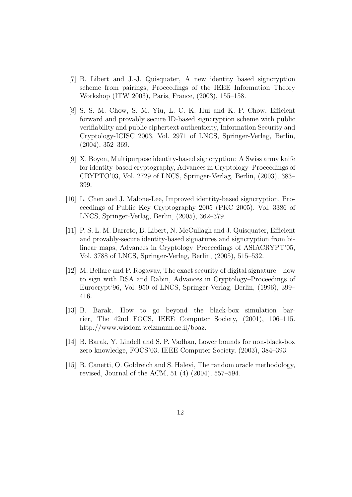- [7] B. Libert and J.-J. Quisquater, A new identity based signcryption scheme from pairings, Proceedings of the IEEE Information Theory Workshop (ITW 2003), Paris, France, (2003), 155–158.
- [8] S. S. M. Chow, S. M. Yiu, L. C. K. Hui and K. P. Chow, Efficient forward and provably secure ID-based signcryption scheme with public verifiability and public ciphertext authenticity, Information Security and Cryptology-ICISC 2003, Vol. 2971 of LNCS, Springer-Verlag, Berlin, (2004), 352–369.
- [9] X. Boyen, Multipurpose identity-based signcryption: A Swiss army knife for identity-based cryptography, Advances in Cryptology–Proceedings of CRYPTO'03, Vol. 2729 of LNCS, Springer-Verlag, Berlin, (2003), 383– 399.
- [10] L. Chen and J. Malone-Lee, Improved identity-based signcryption, Proceedings of Public Key Cryptography 2005 (PKC 2005), Vol. 3386 of LNCS, Springer-Verlag, Berlin, (2005), 362–379.
- [11] P. S. L. M. Barreto, B. Libert, N. McCullagh and J. Quisquater, Efficient and provably-secure identity-based signatures and signcryption from bilinear maps, Advances in Cryptology–Proceedings of ASIACRYPT'05, Vol. 3788 of LNCS, Springer-Verlag, Berlin, (2005), 515–532.
- [12] M. Bellare and P. Rogaway, The exact security of digital signature how to sign with RSA and Rabin, Advances in Cryptology–Proceedings of Eurocrypt'96, Vol. 950 of LNCS, Springer-Verlag, Berlin, (1996), 399– 416.
- [13] B. Barak, How to go beyond the black-box simulation barrier, The 42nd FOCS, IEEE Computer Society, (2001), 106–115. http://www.wisdom.weizmann.ac.il/boaz.
- [14] B. Barak, Y. Lindell and S. P. Vadhan, Lower bounds for non-black-box zero knowledge, FOCS'03, IEEE Computer Society, (2003), 384–393.
- [15] R. Canetti, O. Goldreich and S. Halevi, The random oracle methodology, revised, Journal of the ACM, 51 (4) (2004), 557–594.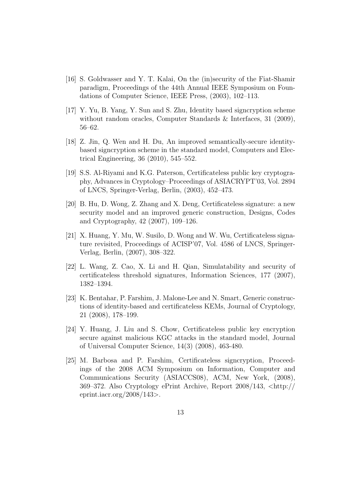- [16] S. Goldwasser and Y. T. Kalai, On the (in)security of the Fiat-Shamir paradigm, Proceedings of the 44th Annual IEEE Symposium on Foundations of Computer Science, IEEE Press, (2003), 102–113.
- [17] Y. Yu, B. Yang, Y. Sun and S. Zhu, Identity based signcryption scheme without random oracles, Computer Standards & Interfaces, 31 (2009), 56–62.
- [18] Z. Jin, Q. Wen and H. Du, An improved semantically-secure identitybased signcryption scheme in the standard model, Computers and Electrical Engineering, 36 (2010), 545–552.
- [19] S.S. Al-Riyami and K.G. Paterson, Certificateless public key cryptography, Advances in Cryptology–Proceedings of ASIACRYPT'03, Vol. 2894 of LNCS, Springer-Verlag, Berlin, (2003), 452–473.
- [20] B. Hu, D. Wong, Z. Zhang and X. Deng, Certificateless signature: a new security model and an improved generic construction, Designs, Codes and Cryptography, 42 (2007), 109–126.
- [21] X. Huang, Y. Mu, W. Susilo, D. Wong and W. Wu, Certificateless signature revisited, Proceedings of ACISP'07, Vol. 4586 of LNCS, Springer-Verlag, Berlin, (2007), 308–322.
- [22] L. Wang, Z. Cao, X. Li and H. Qian, Simulatability and security of certificateless threshold signatures, Information Sciences, 177 (2007), 1382–1394.
- [23] K. Bentahar, P. Farshim, J. Malone-Lee and N. Smart, Generic constructions of identity-based and certificateless KEMs, Journal of Cryptology, 21 (2008), 178–199.
- [24] Y. Huang, J. Liu and S. Chow, Certificateless public key encryption secure against malicious KGC attacks in the standard model, Journal of Universal Computer Science, 14(3) (2008), 463-480.
- [25] M. Barbosa and P. Farshim, Certificateless signcryption, Proceedings of the 2008 ACM Symposium on Information, Computer and Communications Security (ASIACCS08), ACM, New York, (2008), 369–372. Also Cryptology ePrint Archive, Report 2008/143, *<*http:// eprint.iacr.org/2008/143*>*.